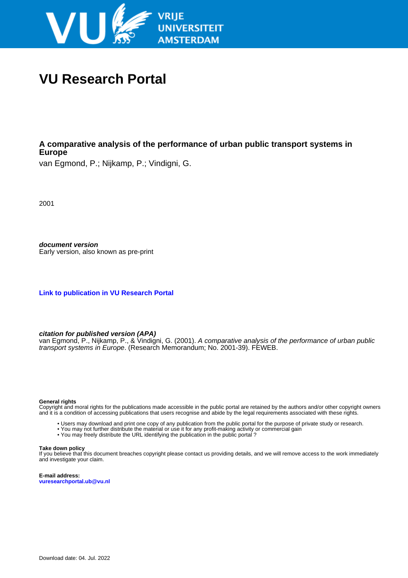

# **VU Research Portal**

### **A comparative analysis of the performance of urban public transport systems in Europe**

van Egmond, P.; Nijkamp, P.; Vindigni, G.

2001

**document version** Early version, also known as pre-print

**[Link to publication in VU Research Portal](https://research.vu.nl/en/publications/6d56c516-196f-42f8-b991-c4d89fd51850)**

**citation for published version (APA)**

van Egmond, P., Nijkamp, P., & Vindigni, G. (2001). A comparative analysis of the performance of urban public transport systems in Europe. (Research Memorandum; No. 2001-39). FEWEB.

#### **General rights**

Copyright and moral rights for the publications made accessible in the public portal are retained by the authors and/or other copyright owners and it is a condition of accessing publications that users recognise and abide by the legal requirements associated with these rights.

- Users may download and print one copy of any publication from the public portal for the purpose of private study or research.
- You may not further distribute the material or use it for any profit-making activity or commercial gain
- You may freely distribute the URL identifying the publication in the public portal ?

#### **Take down policy**

If you believe that this document breaches copyright please contact us providing details, and we will remove access to the work immediately and investigate your claim.

**E-mail address: vuresearchportal.ub@vu.nl**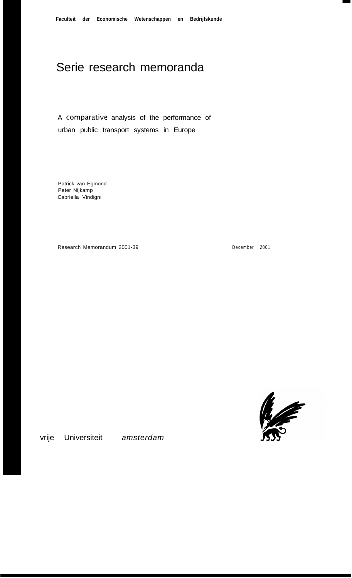# Serie research memoranda

A comparative analysis of the performance of urban public transport systems in Europe

Patrick van Egmond Peter Nijkamp Cabriella Vindigni

Research Memorandum 2001-39

December 2001



vrije Universiteit *amsterdam*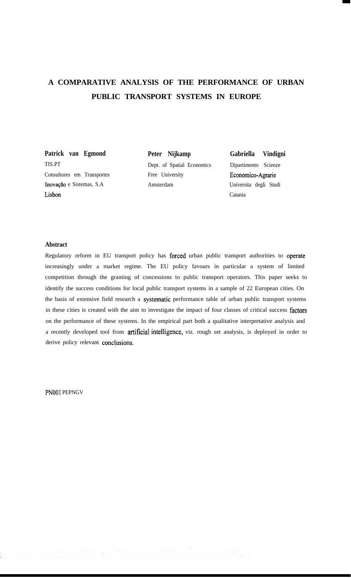## **A COMPARATIVE ANALYSIS OF THE PERFORMANCE OF URBAN PUBLIC TRANSPORT SYSTEMS IN EUROPE**

**Patrick van Egmond** TIS.PT Consultores em Transportes Inovaçao e Sistemas, S.A Lisbon

**Peter Nijkamp** Dept. of Spatial Economics Free University Amsterdam

**Gabriella Vindigni** Dipartimento Scienze Economico-Agrarie Universita degli Studi Catania

#### **Abstract**

Regulatory reform in EU transport policy has forced urban public transport authorities to operate increasingly under a market regime. The EU policy favours in particular a system of limited competition through the granting of concessions to public transport operators. This paper seeks to identify the success conditions for local public transport systems in a sample of 22 European cities. On the basis of extensive field research a systematic performance table of urban public transport systems in these cities is created with the aim to investigate the impact of four classes of critical success factors on the performance of these systems. In the empirical part both a qualitative interpretative analysis and a recently developed tool from artificial intelligence, viz. rough set analysis, is deployed in order to derive policy relevant conclusions.

PNOOI PEPNGV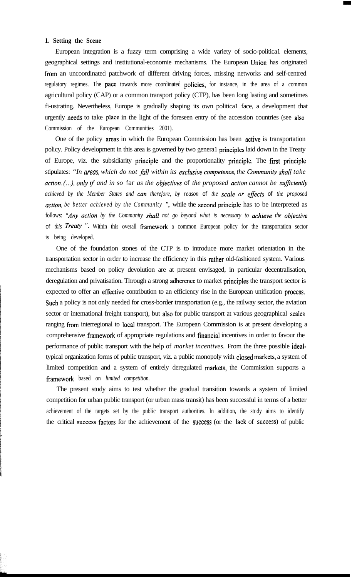#### **1. Setting the Scene**

European integration is a fuzzy term comprising a wide variety of socio-politica1 elements, geographical settings and institutional-economie mechanisms. The European Union has originated from an uncoordinated patchwork of different driving forces, missing networks and self-centred regulatory regimes. The pace towards more coordinated policies, for instance, in the area of a common agricultural policy (CAP) or a common transport policy (CTP), has been long lasting and sometimes fi-ustrating. Nevertheless, Europe is gradually shaping its own politica1 face, a development that urgently needs to take place in the light of the foreseen entry of the accession countries (see also Commission of the European Communities 2001).

One of the policy areas in which the European Commission has been active is transportation policy. Policy development in this area is govemed by two genera1 principles laid down in the Treaty of Europe, viz. the subsidiarity principle and the proportionality principle. The fïrst principle stipulates: *"In areas, which do not fa11 within its exclusive competente, the Community shall take action. (...), only tf and in so far as the objectives of the proposed action cannot be sufficiently achieved by the Member States and can therefore, by reason of the scale or eflects of the proposed action, be better achieved by the Community ",* while the second principle has to be interpreted as follows: *"Any action by the Community shall not go beyond what is necessary to achieve the objective of this Treaty* ". Within this overall framework a common European policy for the transportation sector is being developed.

One of the foundation stones of the CTP is to introduce more market orientation in the transportation sector in order to increase the efficiency in this rather old-fashioned system. Various mechanisms based on policy devolution are at present envisaged, in particular decentralisation, deregulation and privatisation. Through a strong adherence to market principles the transport sector is expected to offer an effective contribution to an efficiency rise in the European unification process. Such a policy is not only needed for cross-border transportation (e.g., the railway sector, the aviation sector or intemational freight transport), but also for public transport at various geographical scales ranging from interregional to local transport. The European Commission is at present developing a comprehensive framework of appropriate regulations and financial incentives in order to favour the performance of public transport with the help of *market incentives.* From the three possible idealtypical organization forms of public transport, viz. a public monopoly with closed markets, a system of limited competition and a system of entirely deregulated markets, the Commission supports a fiamework based on *limited competition.*

The present study aims to test whether the gradual transition towards a system of limited competition for urban public transport (or urban mass transit) has been successful in terms of a better achievement of the targets set by the public transport authorities. In addition, the study aims to identify the critical success factors for the achievement of the success (or the lack of success) of public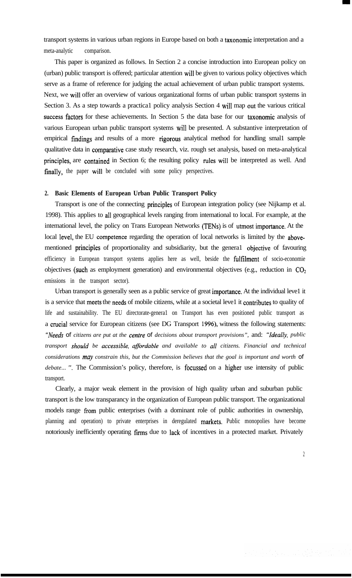transport systems in various urban regions in Europe based on both a taxonomie interpretation and a meta-analytic comparison.

This paper is organized as follows. In Section 2 a concise introduction into European policy on (urban) public transport is offered; particular attention wil1 be given to various policy objectives which serve as a frame of reference for judging the actual achievement of urban public transport systems. Next, we wil1 offer an overview of various organizational forms of urban public transport systems in Section 3. As a step towards a practica1 policy analysis Section 4 will map out the various critical success factors for these achievements. In Section 5 the data base for our taxonomie analysis of various European urban public transport systems wil1 be presented. A substantive interpretation of empirical findings and results of a more rigorous analytical method for handling smal1 sample qualitative data in comparative case study research, viz. rough set analysis, based on meta-analytical principles, are contained in Section 6; the resulting policy rules wil1 be interpreted as well. And finally, the paper will be concluded with some policy perspectives.

#### **2. Basic Elements of European Urban Public Transport Policy**

Transport is one of the connecting principles of European integration policy (see Nijkamp et al. 1998). This applies to al1 geographical levels ranging from intemational to local. For example, at the intemational level, the policy on Trans European Networks (TENs) is of utmost importance. At the local level, the EU competence regarding the operation of local networks is limited by the abovementioned principles of proportionality and subsidiarity, but the genera1 objective of favouring efficiency in European transport systems applies here as well, beside the fulfilment of socio-economie objectives (such as employment generation) and environmental objectives (e.g., reduction in  $CO<sub>2</sub>$ emissions in the transport sector).

Urban transport is generally seen as a public service of great importance. At the individual leve1 it is a service that meets the needs of mobile citizens, while at a societal leve1 it contributes to quality of life and sustainability. The EU directorate-genera1 on Transport has even positioned public transport as a crucial service for European citizens (see DG Transport 1996), witness the following statements: *"Needs of citizens are put at the centre of decisions about transport provisions",* and: *"Ideally, public transport should be accessible, aflordable and available to al1 citizens. Financial and technical considerations may constrain this, but the Commission believes that the goal is important and worth of debate... ".* The Commission's policy, therefore, is focussed on a higher use intensity of public transport.

Clearly, a major weak element in the provision of high quality urban and suburban public transport is the low transparancy in the organization of European public transport. The organizational models range from public enterprises (with a dominant role of public authorities in ownership, planning and operation) to private enterprises in deregulated markets. Public monopolies have become notoriously inefficiently operating firms due to lack of incentives in a protected market. Privately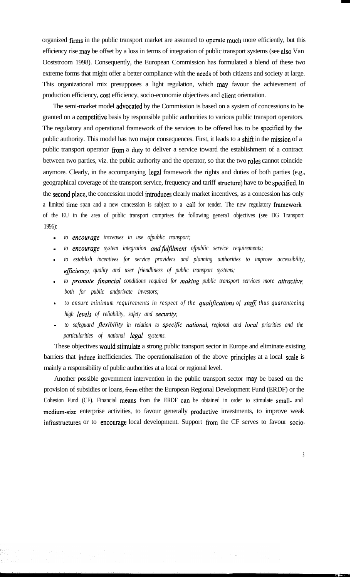organized firms in the public transport market are assumed to operate much more efficiently, but this efficiency rise may be offset by a loss in terms of integration of public transport systems (see also Van Ooststroom 1998). Consequently, the European Commission has formulated a blend of these two extreme forms that might offer a better compliance with the needs of both citizens and society at large. This organizational mix presupposes a light regulation, which may favour the achievement of production efficiency, tost efficiency, socio-economie objectives and client orientation.

The semi-market model advocated by the Commission is based on a system of concessions to be granted on a competitive basis by responsible public authorities to various public transport operators. The regulatory and operational framework of the services to be offered has to be specified by the public authority. This model has two major consequences. First, it leads to a shift in the mission of a public transport operator from a duty to deliver a service toward the establishment of a contract between two parties, viz. the public authority and the operator, so that the two roles cannot coincide anymore. Clearly, in the accompanying legal framework the rights and duties of both parties (e.g., geographical coverage of the transport service, frequency and tariff structure) have to be specified. In the second place, the concession model introduces clearly market incentives, as a concession has only a limited time span and a new concession is subject to a call for tender. The new regulatory framework of the EU in the area of public transport comprises the following genera1 objectives (see DG Transport 1996):

- *- to entourage increases in use ofpublic transport;*
- to *encourage* system integration **and fulfilment** of public service requirements;
- *- to establish incentives for service providers and planning authorities to improve accessibility, eficiency, quality and user friendliness of public transport systems;*
- *- to promote financial conditions required for making public transport services more attractive, both for public andprivate investors;*
- **-** to ensure minimum requirements in respect of the qualifications of staff, thus guaranteeing *high levels of reliability, safety and security;*
- *- to safeguard jlexibility in relation to specijc national, regional and local priorities and the particularities of national legal systems.*

These objectives would stimulate a strong public transport sector in Europe and eliminate existing barriers that induce inefficiencies. The operationalisation of the above principles at a local scale is mainly a responsibility of public authorities at a local or regional level.

Another possible govemment intervention in the public transport sector may be based on the provision of subsidies or loans, from either the European Regional Development Fund (ERDF) or the Cohesion Fund (CF). Financial means from the ERDF can be obtained in order to stimulate small- and medium-size enterprise activities, to favour generally productive investments, to improve weak infrastructures or to encourage local development. Support from the CF serves to favour socio-

3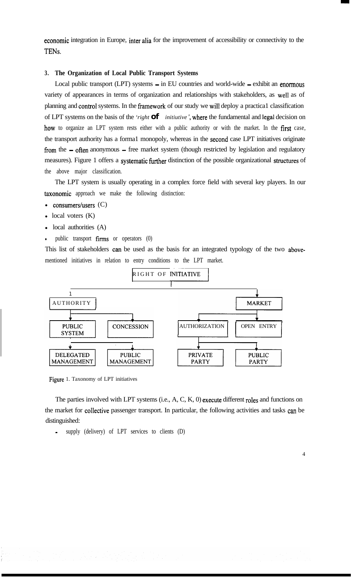economie integration in Europe, inter alia for the improvement of accessibility or connectivity to the TENs.

#### **3. The Organization of Local Public Transport Systems**

Local public transport (LPT) systems - in EU countries and world-wide - exhibit an enormous variety of appearances in terms of organization and relationships with stakeholders, as well as of planning and control systems. In the framework of our study we will deploy a practical classification of LPT systems on the basis of the *'right* **of** *initiutive'*, where the fundamental and legal decision on how to organize an LPT system rests either with a public authority or with the market. In the first case, the transport authority has a forma1 monopoly, whereas in the second case LPT initiatives originate from the - often anonymous - free market system (though restricted by legislation and regulatory measures). Figure 1 offers a systematic further distinction of the possible organizational structures of the above major classification.

The LPT system is usually operating in a complex force field with several key players. In our taxonomie approach we make the following distinction:

- consumers/users  $(C)$
- $local$  voters  $(K)$
- $\bullet$  local authorities  $(A)$
- public transport  $firms$  or operators  $(0)$

This list of stakeholders can be used as the basis for an integrated typology of the two abovementioned initiatives in relation to entry conditions to the LPT market.



Figure 1. Taxonomy of LPT initiatives

The parties involved with LPT systems (i.e., A, C, K, 0) execute different roles and functions on the market for collective passenger transport. In particular, the following activities and tasks can be distinguished:

supply (delivery) of LPT services to clients (D)

4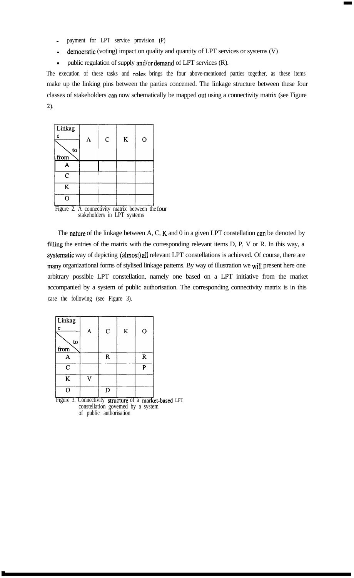- payment for LPT service provision (P)
- democratic (voting) impact on quality and quantity of LPT services or systems (V)
- public regulation of supply and/or demand of LPT services (R).

The execution of these tasks and roles brings the four above-mentioned parties together, as these items make up the linking pins between the parties concemed. The linkage structure between these four classes of stakeholders can now schematically be mapped out using a connectivity matrix (see Figure 2).

| Linkag                                           |                             |              |   |   |  |
|--------------------------------------------------|-----------------------------|--------------|---|---|--|
| e                                                |                             |              |   |   |  |
|                                                  |                             | $\mathsf{C}$ | K | O |  |
| to                                               |                             |              |   |   |  |
| from                                             |                             |              |   |   |  |
|                                                  |                             |              |   |   |  |
| $\overline{C}$                                   |                             |              |   |   |  |
| K                                                |                             |              |   |   |  |
|                                                  |                             |              |   |   |  |
| Figure 2. A connectivity matrix between the four | stakeholders in LPT systems |              |   |   |  |

The **nature** of the linkage between A, C, K and 0 in a given LPT constellation can be denoted by filling the entries of the matrix with the corresponding relevant items D, P, V or R. In this way, a systematic way of depicting (almost) all relevant LPT constellations is achieved. Of course, there are many organizational forms of stylised linkage pattems. By way of illustration we will present here one arbitrary possible LPT constellation, namely one based on a LPT initiative from the market accompanied by a system of public authorisation. The corresponding connectivity matrix is in this case the following (see Figure 3).

| A | $\mathbf C$ | ${\bf K}$ | $\mathbf{O}$ |
|---|-------------|-----------|--------------|
|   |             |           |              |
|   |             |           |              |
|   | ${\bf R}$   |           | $\mathbf R$  |
|   |             |           | P            |
|   |             |           |              |
|   | D           |           |              |
|   |             |           |              |

Figure 3. Connectivity structure of a market-based LPT constellation govemed by a system of public authorisation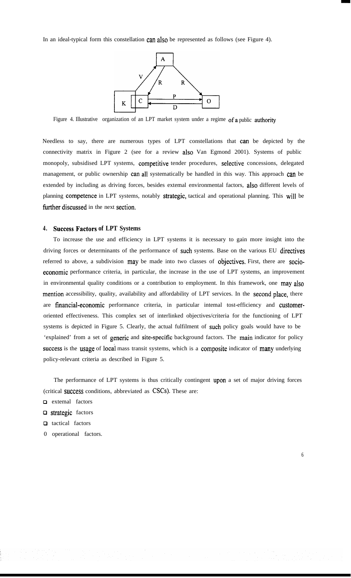In an ideal-typical form this constellation can also be represented as follows (see Figure 4).



Figure 4. Illustrative organization of an LPT market system under a regime of a public authority

Needless to say, there are numerous types of LPT constellations that can be depicted by the connectivity matrix in Figure 2 (see for a review also Van Egmond 2001). Systems of public monopoly, subsidised LPT systems, competitive tender procedures, selective concessions, delegated management, or public ownership can all systematically be handled in this way. This approach can be extended by including as driving forces, besides extemal environmental factors, also different levels of planning competence in LPT systems, notably strategic, tactical and operational planning. This will be further discussed in the next section.

#### **4. Success Factors of LPT Systems**

To increase the use and efficiency in LPT systems it is necessary to gain more insight into the driving forces or determinants of the performance of such systems. Base on the various EU directives referred to above, a subdivision may be made into two classes of objectives. First, there are socioeconomie performance criteria, in particular, the increase in the use of LPT systems, an improvement in environmental quality conditions or a contribution to employment. In this framework, one may also mention accessibility, quality, availability and affordability of LPT services. In the second place, there are financial-economie performance criteria, in particular intemal tost-efficiency and customeroriented effectiveness. This complex set of interlinked objectives/criteria for the functioning of LPT systems is depicted in Figure 5. Clearly, the actual fulfilment of such policy goals would have to be 'explained' from a set of generic and site-specific background factors. The main indicator for policy success is the usage of local mass transit systems, which is a composite indicator of many underlying policy-relevant criteria as described in Figure 5.

The performance of LPT systems is thus critically contingent upon a set of major driving forces (critical success conditions, abbreviated as CSCs). These are:

- **Q** extemal factors
- **Q** strategic factors
- □ tactical factors
- 0 operational factors.

6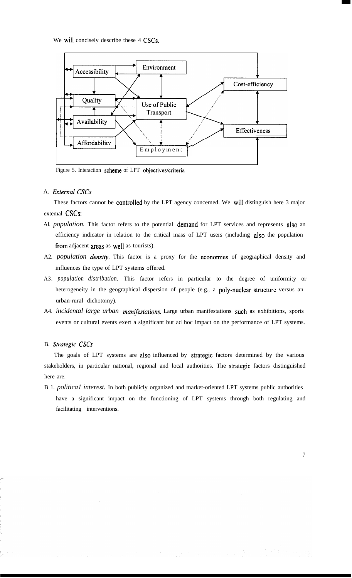We will concisely describe these 4 CSCs.



Figure 5. Interaction scheme of LPT objectives/criteria

#### A. *External CSCs*

These factors cannot be controlled by the LPT agency concemed. We will distinguish here 3 major extemal CSCs:

- Al. *population*. This factor refers to the potential demand for LPT services and represents also an efficiency indicator in relation to the critical mass of LPT users (including also the population from adjacent areas as well as tourists).
- A2. *population density*. This factor is a proxy for the economies of geographical density and influences the type of LPT systems offered.
- A3. *population distribution.* This factor refers in particular to the degree of uniformity or heterogeneity in the geographical dispersion of people (e.g., a poly-nuclear structure versus an urban-rural dichotomy).
- A4. *incidental large urban manifestations.* Large urban manifestations such as exhibitions, sports events or cultural events exert a significant but ad hoc impact on the performance of LPT systems.

B. *Strategie CSCs*

The goals of LPT systems are also influenced by strategie factors determined by the various stakeholders, in particular national, regional and local authorities. The strategie factors distinguished here are:

B 1. *politica1 interest.* In both publicly organized and market-oriented LPT systems public authorities have a significant impact on the functioning of LPT systems through both regulating and facilitating interventions.

7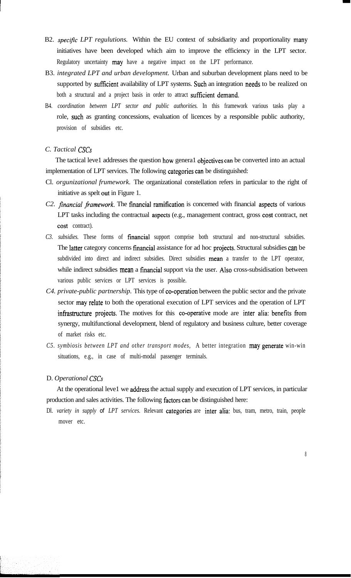- B2. *specific LPT regulutions*. Within the EU context of subsidiarity and proportionality many initiatives have been developed which aim to improve the efficiency in the LPT sector. Regulatory uncertainty may have a negative impact on the LPT performance.
- B3. *integrated LPT and urban development.* Urban and suburban development plans need to be supported by sufficient availability of LPT systems. Such an integration needs to be realized on both a structural and a project basis in order to attract suffícient demand.
- B4. *coordination between LPT sector and public authorities.* In this framework various tasks play a role, such as granting concessions, evaluation of licences by a responsible public authority, provision of subsidies etc.

### *C. Tactical CSCs*

The tactical leve1 addresses the question how genera1 objectives can be converted into an actual implementation of LPT services. The following categories can be distinguished:

- Cl. *orgunizational frumework.* The organizational constellation refers in particular to the right of initiative as spelt out in Figure 1.
- *C2. financiul fiamework.* The financial ramification is concemed with fïnancial aspects of various LPT tasks including the contractual aspects (e.g., management contract, gross cost contract, net cost contract).
- *C3. subsidies.* These forms of financial support comprise both structural and non-structural subsidies. The latter category concerns fïnancial assistance for ad hoc projects. Structural subsidies can be subdivided into direct and indirect subsidies. Direct subsidies mean a transfer to the LPT operator, while indirect subsidies mean a financial support via the user. Also cross-subsidisation between various public services or LPT services is possible.
- *C4. private-public partnership.* This type of co-operation between the public sector and the private sector may relate to both the operational execution of LPT services and the operation of LPT infrastructure projects. The motives for this co-operative mode are inter alia: benefits from synergy, multifunctional development, blend of regulatory and business culture, better coverage of market risks etc.
- *C5. symbiosis between LPT and other transport modes,* A better integration may generate win-win situations, e.g., in case of multi-modal passenger terminals.

### D. *Operational CSCs*

At the operational leve1 we address the actual supply and execution of LPT services, in particular production and sales activities. The following factors can be distinguished here:

Dl. *variety in supply of LPT services.* Relevant categories are inter alia: bus, tram, metro, train, people mover etc.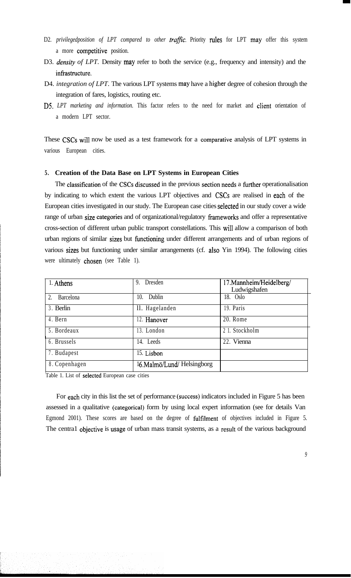- D2. *privilegedposition of LPT compared to other traffic.* Priority rules for LPT may offer this system a more competitive position.
- D3. *density of LPT*. Density may refer to both the service (e.g., frequency and intensity) and the infrastructure.
- D4. *integration of LPT.* The various LPT systems may have a higher degree of cohesion through the integration of fares, logistics, routing etc.
- D5. *LPT marketing and information.* This factor refers to the need for market and client orientation of a modern LPT sector.

These CSCs will now be used as a test framework for a comparative analysis of LPT systems in various European cities.

#### **5. Creation of the Data Base on LPT Systems in European Cities**

The classification of the CSCs discussed in the previous section needs a further operationalisation by indicating to which extent the various LPT objectives and CSCs are realised in each of the European cities investigated in our study. The European case cities selected in our study cover a wide range of urban size categories and of organizational/regulatory frameworks and offer a representative cross-section of different urban public transport constellations. This wil1 allow a comparison of both urban regions of similar sizes but functioning under different arrangements and of urban regions of various sizes but functioning under similar arrangements (cf. also Yin 1994). The following cities were ultimately chosen (see Table 1).

| 1. Athens                     | Dresden<br>9.             | 17.Mannheim/Heidelberg/<br>Ludwigshafen |
|-------------------------------|---------------------------|-----------------------------------------|
| $\overline{2}$ .<br>Barcelona | Dublin<br>10.             | 18. Oslo                                |
| 3. Berlin                     | ll. Hagelanden            | 19. Paris                               |
| 4. Bern                       | 12. Hanover               | 20. Rome                                |
| 5. Bordeaux                   | 13. London                | 2 1. Stockholm                          |
| 6. Brussels                   | 14. Leeds                 | 22. Vienna                              |
| 7. Budapest                   | 15. Lisbon                |                                         |
| 8. Copenhagen                 | 16.Malmö/Lund/Helsingborg |                                         |

Table 1. List of selected European case cities

For each city in this list the set of performance (success) indicators included in Figure 5 has been assessed in a qualitative (categorical) form by using local expert information (see for details Van Egmond 2001). These scores are based on the degree of fulfïlment of objectives included in Figure 5. The centra1 objective is usage of urban mass transit systems, as a result of the various background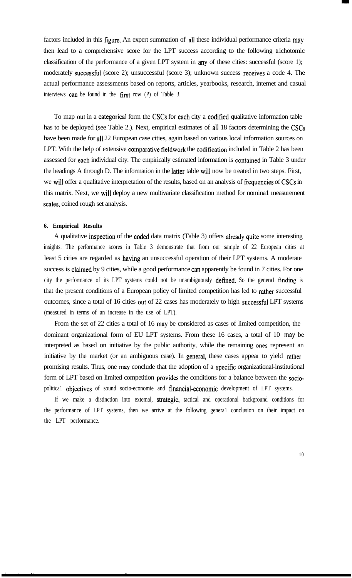factors included in this figure. An expert summation of all these individual performance criteria may then lead to a comprehensive score for the LPT success according to the following trichotomic classification of the performance of a given LPT system in any of these cities: successful (score 1); moderately successful (score 2); unsuccessful (score 3); unknown success receives a code 4. The actual performance assessments based on reports, articles, yearbooks, research, intemet and casual interviews can be found in the first row (P) of Table 3.

To map out in a categorical form the CSCs for each city a codified qualitative information table has to be deployed (see Table 2.). Next, empirical estimates of all 18 factors determining the CSCs have been made for all 22 European case cities, again based on various local information sources on LPT. With the help of extensive comparative fieldwork the codification included in Table 2 has been assessed for each individual city. The empirically estimated information is contained in Table 3 under the headings A through D. The information in the latter table wil1 now be treated in two steps. First, we will offer a qualitative interpretation of the results, based on an analysis of frequencies of CSCs in this matrix. Next, we wil1 deploy a new multivariate classifïcation method for nomina1 measurement scales, coined rough set analysis.

#### **6. Empirical Results**

' ,. ,, ,.

A qualitative inspection of the coded data matrix (Table 3) offers already quite some interesting insights. The performance scores in Table 3 demonstrate that from our sample of 22 European cities at least 5 cities are regarded as having an unsuccessful operation of their LPT systems. A moderate success is claimed by 9 cities, while a good performance can apparently be found in 7 cities. For one city the performance of its LPT systems could not be unambiguously defined. So the general finding is that the present conditions of a European policy of limited competition has led to rather successful outcomes, since a total of 16 cities out of 22 cases has moderately to high successful LPT systems (measured in terms of an increase in the use of LPT).

From the set of 22 cities a total of 16 may be considered as cases of limited competition, the dominant organizational form of EU LPT systems. From these 16 cases, a total of 10 may be interpreted as based on initiative by the public authority, while the remaining ones represent an initiative by the market (or an ambiguous case). In general, these cases appear to yield rather promising results. Thus, one may conclude that the adoption of a specific organizational-institutional form of LPT based on limited competition provides the conditions for a balance between the sociopolitical objectives of sound socio-economie and financial-economic development of LPT systems.

If we make a distinction into extemal, strategic, tactical and operational background conditions for the performance of LPT systems, then we arrive at the following genera1 conclusion on their impact on the LPT performance.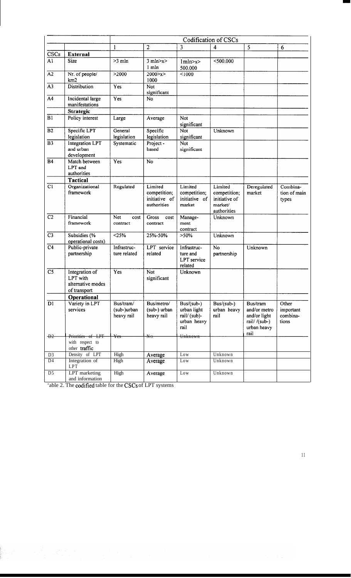|                        |                                                                 | Codification of CSCs                   |                                                         |                                                                   |                                                                    |                                                                                 |                                         |  |  |  |  |  |  |  |
|------------------------|-----------------------------------------------------------------|----------------------------------------|---------------------------------------------------------|-------------------------------------------------------------------|--------------------------------------------------------------------|---------------------------------------------------------------------------------|-----------------------------------------|--|--|--|--|--|--|--|
|                        |                                                                 | $\mathbf{1}$                           | $\overline{2}$                                          | 3                                                                 | 4                                                                  | 5                                                                               | 6                                       |  |  |  |  |  |  |  |
| CSCs                   | <b>External</b>                                                 |                                        |                                                         |                                                                   |                                                                    |                                                                                 |                                         |  |  |  |  |  |  |  |
| A <sub>1</sub>         | <b>Size</b>                                                     | $>3$ mln                               | $3$ mln $\ge x \ge$<br>$1$ m $ln$                       | 1mln >x><br>500.000                                               | $<$ 500.000                                                        |                                                                                 |                                         |  |  |  |  |  |  |  |
| $\overline{A2}$        | Nr. of people/<br>km2                                           | >2000                                  | 2000 > x ><br>1000                                      | < 1000                                                            |                                                                    |                                                                                 |                                         |  |  |  |  |  |  |  |
| $\overline{A3}$        | <b>Distribution</b>                                             | Yes                                    | Not<br>significant                                      |                                                                   |                                                                    |                                                                                 |                                         |  |  |  |  |  |  |  |
| $\overline{A4}$        | Incidental large<br>manifestations                              | Yes                                    | <b>No</b>                                               |                                                                   |                                                                    |                                                                                 |                                         |  |  |  |  |  |  |  |
|                        | <b>Strategic</b>                                                |                                        |                                                         |                                                                   |                                                                    |                                                                                 |                                         |  |  |  |  |  |  |  |
| B1                     | Policy interest<br>Large                                        |                                        | Average                                                 | <b>Not</b><br>significant                                         |                                                                    |                                                                                 |                                         |  |  |  |  |  |  |  |
| $\overline{B2}$        | Specific LPT<br>legislation                                     | General<br>legislation                 | Specific<br>legislation                                 | Not<br>significant                                                | Unknown                                                            |                                                                                 |                                         |  |  |  |  |  |  |  |
| $\overline{B3}$        | <b>Integration LPT</b><br>and urban<br>development              | Systematic                             | Project -<br>based                                      | <b>Not</b><br>significant                                         |                                                                    |                                                                                 |                                         |  |  |  |  |  |  |  |
| <b>B4</b>              | Match between<br>LPT and<br>authorities                         | Yes                                    | No                                                      |                                                                   |                                                                    |                                                                                 |                                         |  |  |  |  |  |  |  |
|                        | <b>Tactical</b>                                                 |                                        |                                                         | Limited                                                           |                                                                    |                                                                                 |                                         |  |  |  |  |  |  |  |
| C1                     | Organizational<br>framework                                     | Regulated                              | Limited<br>competition;<br>initiative of<br>authorities |                                                                   | Limited<br>competition;<br>initiative of<br>market/<br>authorities | Deregulated<br>market                                                           | Combina-<br>tion of main<br>types       |  |  |  |  |  |  |  |
| $\overline{C2}$        | Financial<br>framework                                          | Net<br>cost<br>contract                | Gross<br>cost<br>contract                               | Manage-<br>ment<br>contract                                       | Unknown                                                            |                                                                                 |                                         |  |  |  |  |  |  |  |
| C <sub>3</sub>         | Subsidies (%<br>operational costs)                              | < 25%                                  | 25%-50%                                                 | $>50\%$                                                           | Unknown                                                            |                                                                                 |                                         |  |  |  |  |  |  |  |
| $\overline{C4}$        | Public-private<br>partnership                                   | Infrastruc-<br>ture related            | LPT service<br>related                                  | Infrastruc-<br>ture and<br>LPT service<br>related                 | No<br>partnership                                                  | Unknown                                                                         |                                         |  |  |  |  |  |  |  |
| $\overline{\text{C5}}$ | Integration of<br>LPT with<br>alternative modes<br>of transport | <b>Yes</b>                             | Not<br>significant                                      | Unknown                                                           |                                                                    |                                                                                 |                                         |  |  |  |  |  |  |  |
|                        | Operational                                                     |                                        |                                                         |                                                                   |                                                                    |                                                                                 |                                         |  |  |  |  |  |  |  |
| D1                     | Variety in LPT<br>services                                      | Bus/tram/<br>(sub-)urban<br>heavy rail | Bus/metro/<br>(sub-) urban<br>heavy rail                | $Bus/(sub-)$<br>urban light<br>rail/(sub)-<br>urban heavy<br>rail | Bus/(sub-)<br>urban heavy<br>rail                                  | Bus/tram<br>and/or metro<br>and/or light<br>rail//(sub-)<br>urban heavy<br>rail | Other<br>important<br>combina-<br>tions |  |  |  |  |  |  |  |
| $+22$                  | Priorities of LPT                                               | Yes                                    | $\del{\pi}$                                             | Unknown                                                           |                                                                    |                                                                                 |                                         |  |  |  |  |  |  |  |
|                        | with respect to<br>other traffic                                |                                        |                                                         |                                                                   |                                                                    |                                                                                 |                                         |  |  |  |  |  |  |  |
| D <sub>3</sub>         | Density of LPT                                                  | High                                   | Average                                                 | Low                                                               | Unknown                                                            |                                                                                 |                                         |  |  |  |  |  |  |  |
| D <sub>4</sub>         | Integration of<br>LPT                                           | High                                   | Average                                                 | Low                                                               | Unknown                                                            |                                                                                 |                                         |  |  |  |  |  |  |  |
| $\overline{D5}$        | LPT marketing<br>and information                                | High                                   | Average                                                 | Low                                                               | Unknown                                                            |                                                                                 |                                         |  |  |  |  |  |  |  |

'able 2. The codifïed table for the CSCs of LPT systems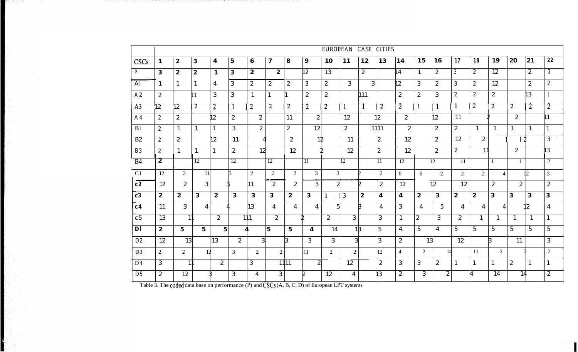|                | EUROPEAN CASE CITIES |                  |                  |                  |                         |                  |                |                  |                  |                |                |                  |                  |                         |                  |                  |                  |                  |                 |                  |                 |                  |
|----------------|----------------------|------------------|------------------|------------------|-------------------------|------------------|----------------|------------------|------------------|----------------|----------------|------------------|------------------|-------------------------|------------------|------------------|------------------|------------------|-----------------|------------------|-----------------|------------------|
| <b>CSCs</b>    | 1                    | $\boldsymbol{2}$ | $\bf{3}$         | $\boldsymbol{4}$ | $\overline{\mathbf{5}}$ | $\bf{6}$         | $\mathbf{7}$   | 8                | $\boldsymbol{9}$ | 10             | 11             | 12               | 13               | 14                      | 15               | 16               | $\overline{17}$  | 18               | 19              | 20               | 21              | $\overline{22}$  |
| $\overline{P}$ | 3                    | $\boldsymbol{2}$ | $\boldsymbol{2}$ | $\mathbf{1}$     | 3                       | $\boldsymbol{2}$ | $\overline{2}$ |                  | $\mathbf{2}$     | 13             |                | $\overline{2}$   |                  | $\overline{14}$         | $\mathbf{1}$     | $\mathbf{2}$     | 3                | $2^{\circ}$      | $\overline{12}$ |                  | $\mathbf{2}$    | -1               |
| AI             | 1                    | 1                |                  | 4                | 3                       | $\mathbf{2}$     | $\mathbf{2}$   | $\boldsymbol{2}$ | 3                | 2              | 3              | 3                |                  | $\overline{2}$          | 3                | $\mathbf{2}$     | $\mathbf{3}$     | $\mathbf{2}$     | 12              |                  | $\mathbf{2}$    | $\boldsymbol{2}$ |
| A2             | $\mathbf{2}$         |                  |                  | 3                | 3                       | 1                | $\mathbf{1}$   |                  | 2                | $\mathbf{2}$   |                | 111              |                  | $\boldsymbol{2}$        | $\mathbf{2}$     | 3                | $\boldsymbol{2}$ | $\mathbf{2}$     | 2               |                  | l 3             |                  |
| A <sub>3</sub> | $12\,$               | 12 <sup>°</sup>  | $\overline{2}$   | $\overline{2}$   |                         | $\overline{2}$   | $\overline{2}$ | $\overline{2}$   | $\overline{2}$   | $\overline{2}$ | $\mathbf{1}$   | $\mathbf{1}$     | $\overline{2}$   | $\overline{2}$          | $\mathbf{1}$     | $\mathbf{1}$     | $\mathbf{1}$     | 2                | $\overline{2}$  | $\overline{2}$   | $\overline{2}$  | $\overline{2}$   |
| A <sub>4</sub> | $\mathbf{2}$         | $\boldsymbol{2}$ |                  | $\overline{2}$   | $\boldsymbol{2}$        | $\boldsymbol{2}$ |                | 11               | 2 <sup>1</sup>   |                | 12             |                  | 12               | $\overline{2}$          |                  | $\mathbf{2}$     | 11               |                  |                 | $\mathbf{2}$     |                 | $\mathbf{1}$     |
| B <sub>l</sub> | $\mathbf{2}$         | $\mathbf{1}$     | 1                | $\mathbf{1}$     | 3                       | $\mathbf{2}$     |                | $\mathbf{2}$     | 12               |                | $\mathbf{2}$   |                  | 1111             | $\mathbf{2}$            |                  | $\boldsymbol{2}$ | $\mathbf{2}$     | $\mathbf{1}$     | $\mathbf{1}$    | $\mathbf{1}$     | 1               | $\mathbf{1}$     |
| B2             | $\mathbf{2}$         | $\mathbf{2}$     |                  | 12               | 11                      | $\boldsymbol{A}$ |                | $\mathbf{2}$     | $12 \,$          |                | 11             |                  | $\mathbf{2}$     | 12                      |                  | $\boldsymbol{2}$ | $\overline{12}$  | $\mathbf{2}$     |                 |                  |                 | 3                |
| <b>B3</b>      | $\mathbf{2}$         | $\mathbf{1}$     | 1                | $\mathbf{1}$     | 2                       | 12               |                | 12               |                  |                | 12             |                  | $\mathbf{2}$     | 12                      |                  | $\boldsymbol{2}$ | $\mathbf{2}$     | 11               |                 | $\mathbf{2}$     |                 | 3                |
| <b>B4</b>      | $\bf{z}$             |                  | 12               |                  | 12                      |                  | 12             |                  | 11               |                | 12             |                  | 11               | $\overline{12}$         |                  | 1Þ               | $\overline{11}$  |                  |                 | $\mathbf{1}$     |                 | $\overline{2}$   |
| C1             | 12                   | 2                | 11               |                  |                         | $\overline{2}$   | 2              | $\overline{2}$   | $\mathfrak{Z}$   | $\mathcal{R}$  |                | n                | 2                | 6                       | 6                | $\mathcal{L}$    | $\overline{2}$   | $\overline{2}$   | $\overline{4}$  |                  | 112             | $\mathfrak{Z}$   |
| c2             | 12                   | $\mathbf{2}$     | 3 <sup>1</sup>   |                  |                         | 11               | $\mathbf{2}$   | $\boldsymbol{2}$ | 3 <sup>1</sup>   | $\overline{2}$ |                |                  | $\mathbf{2}$     | 12                      |                  | 12               | 12               |                  | $\mathbf{2}$    | $\mathbf{2}$     |                 | $\boldsymbol{2}$ |
| c3             | $\boldsymbol{2}$     | $\boldsymbol{2}$ | $\mathbf{3}$     | $\boldsymbol{2}$ | $\mathbf{3}$            | $\mathbf{3}$     | $\mathbf{3}$   | $\boldsymbol{2}$ | $\mathbf{3}$     | $\mathbf{1}$   | $\overline{3}$ | $\boldsymbol{2}$ | 4                | $\overline{\mathbf{4}}$ | $\boldsymbol{2}$ | $\mathbf{3}$     | $\boldsymbol{2}$ | $\boldsymbol{2}$ | 3               | $\mathbf{3}$     | $\mathbf{3}$    | $\mathbf{3}$     |
| c <sub>4</sub> | 11                   | $\overline{3}$   | 4                |                  |                         | 13               | $\overline{4}$ | $\overline{4}$   | $\overline{4}$   | 51             |                |                  | $\overline{4}$   | 3                       | $\overline{4}$   | $5\overline{)}$  | 4                | 4                | $\overline{4}$  |                  | 12              | $\overline{4}$   |
| c <sub>5</sub> | 13                   | 1 <sup>1</sup>   |                  | $\mathbf{2}$     |                         | 111              | $\overline{2}$ |                  |                  | $\mathbf{2}$   | 3 <sup>1</sup> |                  | 3                | 1                       | $\boldsymbol{2}$ | 3                | $2^{\circ}$      | 1                | $\mathbf{1}$    | 1                | $\mathbf{1}$    | $\mathbf{1}$     |
| DI             | $\boldsymbol{2}$     | 5 <sup>5</sup>   | $5^{\circ}$      | 5 <sup>1</sup>   |                         | 4                | 5              | $5\overline{)}$  | 4                | 14             | 18             |                  | 5                | $\overline{4}$          | $5\overline{)}$  | $\overline{4}$   | $5\overline{)}$  | 5 <sup>5</sup>   | $5\overline{)}$ | $5\overline{)}$  | $5\overline{)}$ | $5\phantom{.0}$  |
| D2             | 12                   | 13               |                  | 13               | $\mathbf{2}$            | 3                |                | B.               | 3 <sup>1</sup>   | 3 <sup>1</sup> | $\overline{3}$ |                  | 3                | $\mathbf{2}$            | 13               |                  | 12               |                  | ß               | 11               |                 | 3                |
| D <sub>3</sub> | 2                    | $\overline{2}$   | 17               |                  | 3                       | $\overline{2}$   | $\overline{2}$ |                  | 11               | 2              | 2              |                  | 12               | $\overline{4}$          | 2                | 14               |                  | 11               | $\overline{2}$  |                  |                 | 2                |
| D <sub>4</sub> | 3                    | 1 <sup>1</sup>   |                  | $\mathbf{2}$     |                         | 3                |                | 1111             | $\boldsymbol{2}$ |                | 12             |                  | $\boldsymbol{2}$ | 3                       | 3                | $\mathbf{2}$     | 1                | $\mathbf{1}$     |                 | $\boldsymbol{2}$ |                 | $\mathbf{1}$     |
| D <sub>5</sub> | $\mathbf{2}$         | 12               |                  |                  | 3                       | 4                | 3 <sup>1</sup> |                  |                  | 12             | 4              |                  | $3^{\circ}$      | $\mathbf{2}$            | 3 <sup>1</sup>   | $\mathbf{2}$     |                  | 4                | 14              | 14               |                 | $\overline{2}$   |

Table 3. The coded data base on performance (P) and CSCs (A, B, C, D) of European LPT systems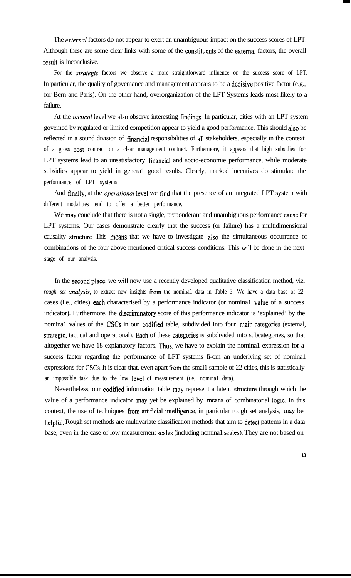The *external* factors do not appear to exert an unambiguous impact on the success scores of LPT. Although these are some clear links with some of the constituents of the external factors, the overall result is inconclusive.

For the *strategie* factors we observe a more straightforward influence on the success score of LPT. In particular, the quality of governance and management appears to be a decisive positive factor (e.g., for Bern and Paris). On the other hand, overorganization of the LPT Systems leads most likely to a failure.

At the *tactical* level we also observe interesting findings. In particular, cities with an LPT system govemed by regulated or limited competition appear to yield a good performance. This should also be reflected in a sound division of financial responsibilities of al1 stakeholders, especially in the context of a gross tost contract or a clear management contract. Furthermore, it appears that high subsidies for LPT systems lead to an unsatisfactory financial and socio-economie performance, while moderate subsidies appear to yield in genera1 good results. Clearly, marked incentives do stimulate the performance of LPT systems.

And finally, at the *operational* level we find that the presence of an integrated LPT system with different modalities tend to offer a better performance.

We may conclude that there is not a single, preponderant and unambiguous performance cause for LPT systems. Our cases demonstrate clearly that the success (or failure) has a multidimensional causality structure. This means that we have to investigate also the simultaneous occurrence of combinations of the four above mentioned critical success conditions. This wil1 be done in the next stage of our analysis.

In the second place, we wil1 now use a recently developed qualitative classification method, viz. *rough set analysis,* to extract new insights from the nomina1 data in Table 3. We have a data base of 22 cases (i.e., cities) each characterised by a performance indicator (or nomina1 value of a success indicator). Furthermore, the discriminatory score of this performance indicator is 'explained' by the nomina1 values of the CSCs in our codified table, subdivided into four main categories (extemal, strategie, tactical and operational). Each of these categories is subdivided into subcategories, so that altogether we have 18 explanatory factors. Thus, we have to explain the nomina1 expression for a success factor regarding the performance of LPT systems fì-om an underlying set of nomina1 expressions for CSCs. It is clear that, even apart from the smal1 sample of 22 cities, this is statistically an impossible task due to the low level of measurement (i.e., nominal data).

Nevertheless, our codifïed information table may represent a latent structure through which the value of a performance indicator may yet be explained by means of combinatorial logie. In this context, the use of techniques from artificial intelligence, in particular rough set analysis, may be helpful. Rough set methods are multivariate classification methods that aim to detect pattems in a data base, even in the case of low measurement scales (including nomina1 scales). They are not based on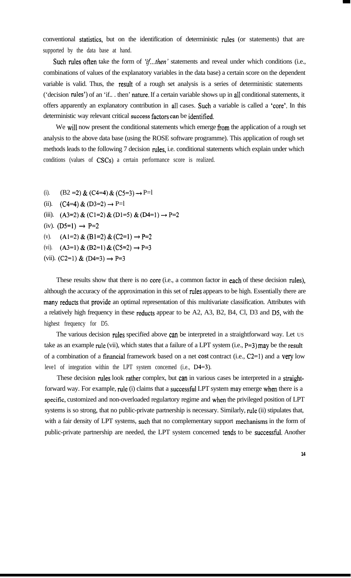conventional statistics, but on the identifïcation of deterministic rules (or statements) that are supported by the data base at hand.

Such rules often take the form of 'if...then' statements and reveal under which conditions (i.e., combinations of values of the explanatory variables in the data base) a certain score on the dependent variable is valid. Thus, the result of a rough set analysis is a series of deterministic statements ('decision rules') of an 'if.. . then' nature. If a certain variable shows up in al1 conditional statements, it offers apparently an explanatory contribution in al1 cases. Such a variable is called a 'core'. In this deterministic way relevant critical success factors can be identified.

We will now present the conditional statements which emerge from the application of a rough set analysis to the above data base (using the ROSE software programme). This application of rough set methods leads to the following 7 decision rules, i.e. conditional statements which explain under which conditions (values of CSCs) a certain performance score is realized.

- (i).  $(B2 = 2) \& (C4 = 4) \& (C5 = 3) \rightarrow P=1$
- (ii).  $(C4=4) \& (D3=2) \rightarrow P=1$
- (iii).  $(A3=2) \& (C1=2) \& (D1=5) \& (D4=1) \rightarrow P=2$
- (iv).  $(D5=1) \rightarrow P=2$
- (v).  $(A1=2) \& (B1=2) \& (C2=1) \rightarrow P=2$
- (vi).  $(A3=1) & (B2=1) & (C5=2) \rightarrow P=3$
- (vii). (C2=1) & (D4=3)  $\rightarrow$  P=3

These results show that there is no core (i.e., a common factor in each of these decision rules), although the accuracy of the approximation in this set of rules appears to be high. Essentially there are many reducts that provide an optimal representation of this multivariate classification. Attributes with a relatively high frequency in these reducts appear to be A2, A3, B2, B4, Cl, D3 and D5, with the highest frequency for D5.

The various decision rules specified above can be interpreted in a straightforward way. Let us take as an example rule (vii), which states that a failure of a LPT system (i.e.,  $P=3$ ) may be the result of a combination of a financial framework based on a net cost contract (i.e.,  $C2=1$ ) and a very low leve1 of integration within the LPT system concemed (i.e., D4=3).

These decision rules look rather complex, but can in various cases be interpreted in a straightforward way. For example, tule (i) claims that a successful LPT system may emerge when there is a specific, customized and non-overloaded regulartory regime and when the privileged position of LPT systems is so strong, that no public-private partnership is necessary. Similarly, tule (ii) stipulates that, with a fair density of LPT systems, such that no complementary support mechanisms in the form of public-private partnership are needed, the LPT system concemed tends to be successful. Another